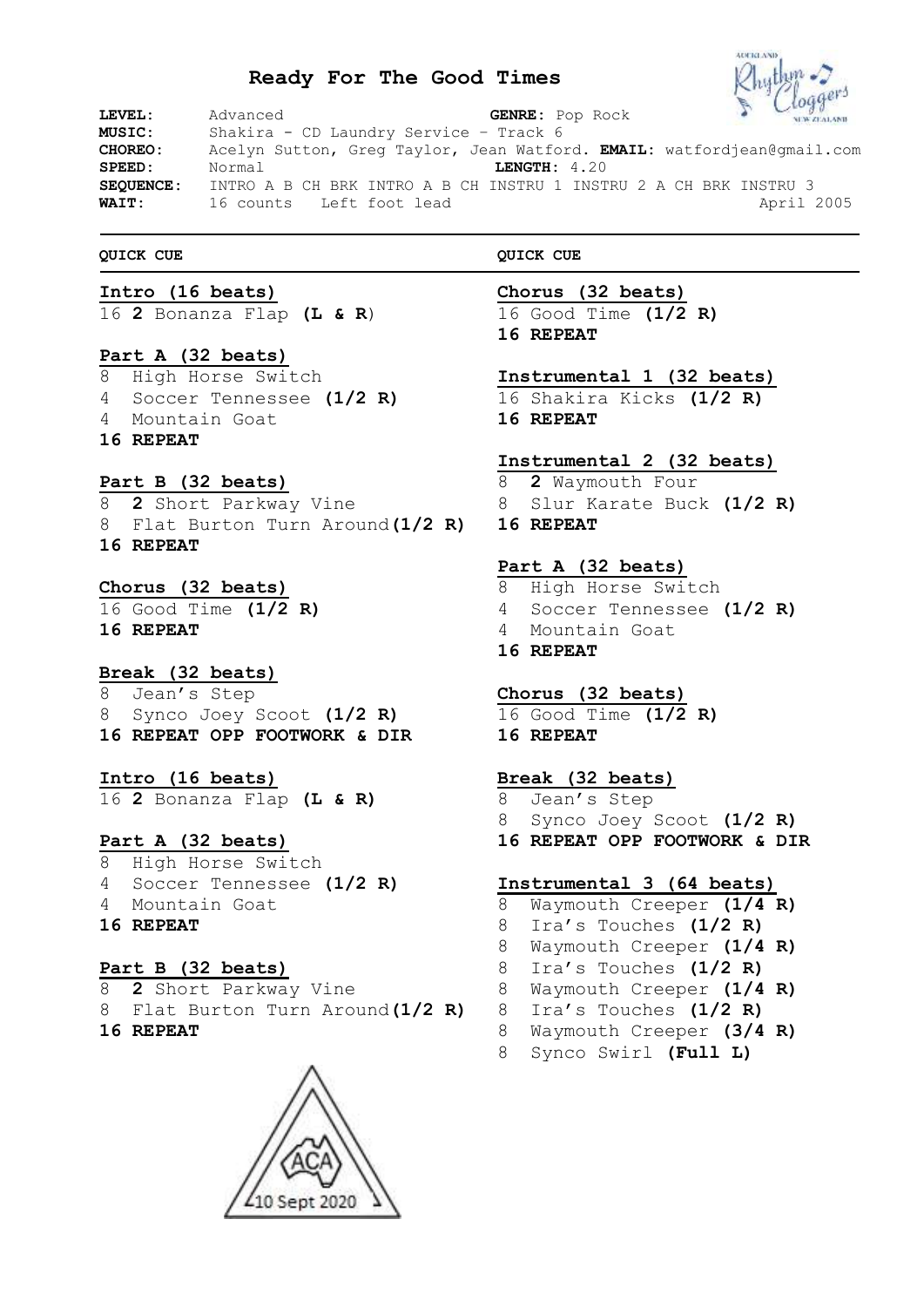# **Ready For The Good Times**



| LEVEL:           | $\frac{d}{dx}$ <b>WW.EGALAND</b><br>GENRE: Pop Rock<br>Advanced        |  |
|------------------|------------------------------------------------------------------------|--|
| <b>MUSIC:</b>    | Shakira - CD Laundry Service - Track 6                                 |  |
| CHOREO:          | Acelyn Sutton, Greg Taylor, Jean Watford. EMAIL: watfordjean@gmail.com |  |
| SPEED:           | LENGTH: 4.20<br>Normal                                                 |  |
| <b>SEOUENCE:</b> | INTRO A B CH BRK INTRO A B CH INSTRU 1 INSTRU 2 A CH BRK INSTRU 3      |  |
| <b>WAIT:</b>     | April 2005<br>16 counts Left foot lead                                 |  |

#### **QUICK CUE**

### **Intro (16 beats)**

**2** Bonanza Flap **(L & R**)

### **Part A (32 beats)**

 High Horse Switch Soccer Tennessee **(1/2 R)** Mountain Goat **REPEAT**

#### **Part B (32 beats)**

 **2** Short Parkway Vine Flat Burton Turn Around**(1/2 R) REPEAT**

# **Chorus (32 beats)**

 Good Time **(1/2 R) REPEAT**

# **Break (32 beats)**

 Jean's Step Synco Joey Scoot **(1/2 R) REPEAT OPP FOOTWORK & DIR**

#### **Intro (16 beats)**

**2** Bonanza Flap **(L & R)**

# **Part A (32 beats)**

 High Horse Switch Soccer Tennessee **(1/2 R)** Mountain Goat **REPEAT**

## **Part B (32 beats)**

**2** Short Parkway Vine

- Flat Burton Turn Around**(1/2 R)**
- **REPEAT**



### **QUICK CUE**

**Chorus (32 beats)** Good Time **(1/2 R) REPEAT**

#### **Instrumental 1 (32 beats)**

 Shakira Kicks **(1/2 R) REPEAT**

# **Instrumental 2 (32 beats)**

 **2** Waymouth Four Slur Karate Buck **(1/2 R)**

**REPEAT**

# **Part A (32 beats)**

- High Horse Switch Soccer Tennessee **(1/2 R)** Mountain Goat
- **REPEAT**

## **Chorus (32 beats)**

 Good Time **(1/2 R) REPEAT**

## **Break (32 beats)**

 Jean's Step Synco Joey Scoot **(1/2 R) REPEAT OPP FOOTWORK & DIR**

# **Instrumental 3 (64 beats)**

- Waymouth Creeper **(1/4 R)**
- Ira's Touches **(1/2 R)**
- Waymouth Creeper **(1/4 R)**
- Ira's Touches **(1/2 R)**
- Waymouth Creeper **(1/4 R)**
- Ira's Touches **(1/2 R)**
- Waymouth Creeper **(3/4 R)**
- Synco Swirl **(Full L)**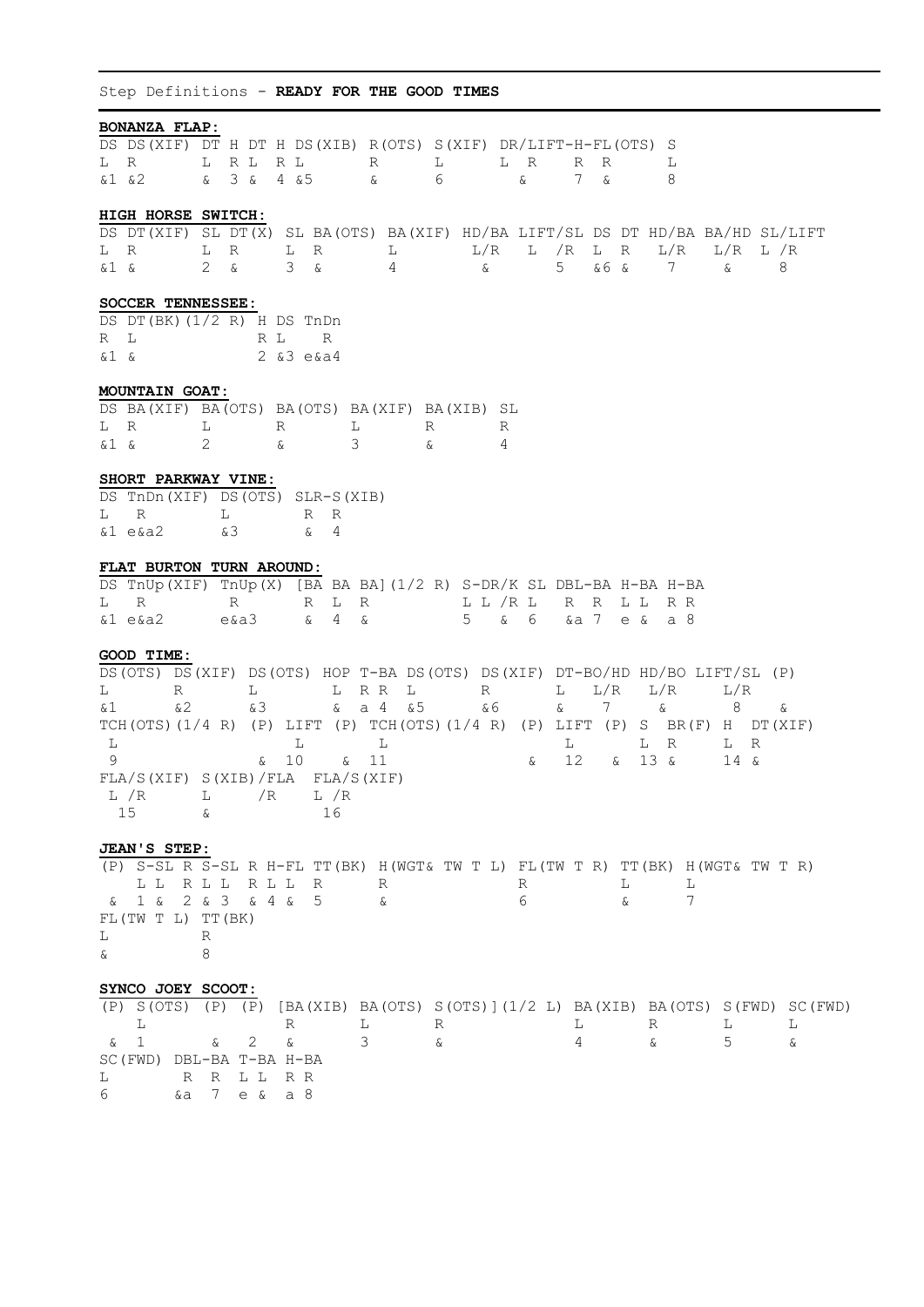Step Definitions - **READY FOR THE GOOD TIMES**

| <b>BONANZA FLAP:</b>                                                               |                   |                                       |                                |          |                             |                            |             |
|------------------------------------------------------------------------------------|-------------------|---------------------------------------|--------------------------------|----------|-----------------------------|----------------------------|-------------|
| DS DS (XIF) DT H DT H DS (XIB) R (OTS) S (XIF) DR/LIFT-H-FL (OTS) S                |                   |                                       |                                |          |                             |                            |             |
| L R                                                                                | L R L             | R L<br>R                              | L                              | L R      | R R                         | L                          |             |
| $\&1$ $&2$                                                                         | & 3 & 4 & 5       | $\delta$                              | 6                              | $\delta$ | 7 &                         | 8                          |             |
|                                                                                    |                   |                                       |                                |          |                             |                            |             |
| HIGH HORSE SWITCH:                                                                 |                   |                                       |                                |          |                             |                            |             |
|                                                                                    |                   |                                       |                                |          |                             |                            |             |
| DS DT (XIF) SL DT (X) SL BA (OTS) BA (XIF) HD/BA LIFT/SL DS DT HD/BA BA/HD SL/LIFT |                   |                                       |                                |          |                             |                            |             |
| L R                                                                                | L R               | L R                                   | $L/R$ $\alpha$<br>$\mathbb{L}$ |          | L /R L R                    | L/R                        | $L/R$ $L/R$ |
| &1 &                                                                               | $2\alpha$         | $3\alpha$                             | $\overline{4}$                 |          | 5 <sup>5</sup><br>& 6 &     | $7\overline{ }$<br>&       | 8           |
|                                                                                    |                   |                                       |                                |          |                             |                            |             |
| SOCCER TENNESSEE:                                                                  |                   |                                       |                                |          |                             |                            |             |
| DS DT(BK)(1/2 R) H DS TnDn                                                         |                   |                                       |                                |          |                             |                            |             |
| R L                                                                                | R L               | R                                     |                                |          |                             |                            |             |
| &1 &                                                                               |                   | $2 \times 3 e \times 4$               |                                |          |                             |                            |             |
|                                                                                    |                   |                                       |                                |          |                             |                            |             |
| <b>MOUNTAIN GOAT:</b>                                                              |                   |                                       |                                |          |                             |                            |             |
| DS BA(XIF) BA(OTS) BA(OTS) BA(XIF) BA(XIB) SL                                      |                   |                                       |                                |          |                             |                            |             |
| L R<br>$\mathbf{L}$                                                                | R                 | $\mathbb{L}$                          | R                              | R        |                             |                            |             |
| &1 &                                                                               | 2<br>ଙ            | 3                                     | $\delta$                       | 4        |                             |                            |             |
|                                                                                    |                   |                                       |                                |          |                             |                            |             |
| SHORT PARKWAY VINE:                                                                |                   |                                       |                                |          |                             |                            |             |
| DS TnDn(XIF) DS(OTS) SLR-S(XIB)                                                    |                   |                                       |                                |          |                             |                            |             |
| L R                                                                                | L                 | R<br>R                                |                                |          |                             |                            |             |
| $&1$ e $&3$                                                                        | &3                | 4<br>&                                |                                |          |                             |                            |             |
|                                                                                    |                   |                                       |                                |          |                             |                            |             |
| FLAT BURTON TURN AROUND:                                                           |                   |                                       |                                |          |                             |                            |             |
| DS TNUp(XIF) TNUp(X) [BA BA BA](1/2 R) S-DR/K SL DBL-BA H-BA H-BA                  |                   |                                       |                                |          |                             |                            |             |
| L R                                                                                | R                 | $R L R$                               |                                |          | LL/RL R R LL R R            |                            |             |
|                                                                                    |                   | $\begin{matrix}6 & 4 & 6\end{matrix}$ |                                |          |                             |                            |             |
| $&1$ e $&32$                                                                       | $e\&a3$           |                                       |                                | 5 & 6    | &a 7 e &                    | a 8                        |             |
|                                                                                    |                   |                                       |                                |          |                             |                            |             |
| GOOD TIME:                                                                         |                   |                                       |                                |          |                             |                            |             |
| DS(OTS) DS(XIF) DS(OTS) HOP T-BA DS(OTS) DS(XIF) DT-BO/HD HD/BO LIFT/SL (P)        |                   |                                       |                                |          |                             |                            |             |
| R<br>L                                                                             | L                 | L R R L                               |                                | R        | L/R<br>L                    | L/R<br>L/R                 |             |
| & 2<br>&1                                                                          | &3                | $\delta$                              | a 4 & 5                        | & 6      | $7\overline{ }$<br>$\delta$ | $\delta$<br>8 <sup>8</sup> | &           |
| TCH(OTS)(1/4 R) (P) LIFT (P) TCH(OTS)(1/4 R) (P) LIFT (P) S BR(F) H DT(XIF)        |                   |                                       |                                |          |                             |                            |             |
| $\mathbb L$                                                                        |                   | $\mathbb L$                           | L                              |          | L                           | L<br>R<br>L                | $\mathbb R$ |
| 9                                                                                  | $\&$ 10           | $\delta$<br>11                        |                                | $\delta$ | 12<br>$\delta$              | $13 \&$<br>$14 \&$         |             |
| FLA/S(XIF) S(XIB)/FLA FLA/S(XIF)                                                   |                   |                                       |                                |          |                             |                            |             |
| L /R                                                                               | $L / R$ $L / R$   |                                       |                                |          |                             |                            |             |
| 15<br>$\delta$                                                                     |                   | 16                                    |                                |          |                             |                            |             |
|                                                                                    |                   |                                       |                                |          |                             |                            |             |
| JEAN'S STEP:                                                                       |                   |                                       |                                |          |                             |                            |             |
| (P) S-SL R S-SL R H-FL TT (BK) H (WGT& TW T L) FL (TW T R) TT (BK) H (WGT& TW T R) |                   |                                       |                                |          |                             |                            |             |
|                                                                                    |                   |                                       |                                |          |                             |                            |             |
|                                                                                    | LL RLL RLL R      | <b>R</b>                              |                                | R        | L                           | L                          |             |
| &                                                                                  | 2 & 3 & 4 & 4 & 6 | 5 <sub>1</sub>                        | &                              | 6        | $\delta$                    | 7                          |             |
| FL(TW T L) TT(BK)                                                                  |                   |                                       |                                |          |                             |                            |             |
| L                                                                                  | R                 |                                       |                                |          |                             |                            |             |
| &                                                                                  | 8                 |                                       |                                |          |                             |                            |             |
|                                                                                    |                   |                                       |                                |          |                             |                            |             |
| SYNCO JOEY SCOOT:                                                                  |                   |                                       |                                |          |                             |                            |             |

|  |  |                          | $(P)$ S(OTS) $(P)$ $(P)$ $[BA(XIB)$ BA(OTS) S(OTS)](1/2 L) BA(XIB) BA(OTS) S(FWD) SC(FWD) |  |  |  |
|--|--|--------------------------|-------------------------------------------------------------------------------------------|--|--|--|
|  |  |                          | L R L R L R L L                                                                           |  |  |  |
|  |  |                          | & 1 & 2 & 3 & 4 & 5 &                                                                     |  |  |  |
|  |  | SC(FWD) DBL-BA T-BA H-BA |                                                                                           |  |  |  |
|  |  | L RRLLRR                 |                                                                                           |  |  |  |
|  |  | 6 & a 7 e & a 8          |                                                                                           |  |  |  |